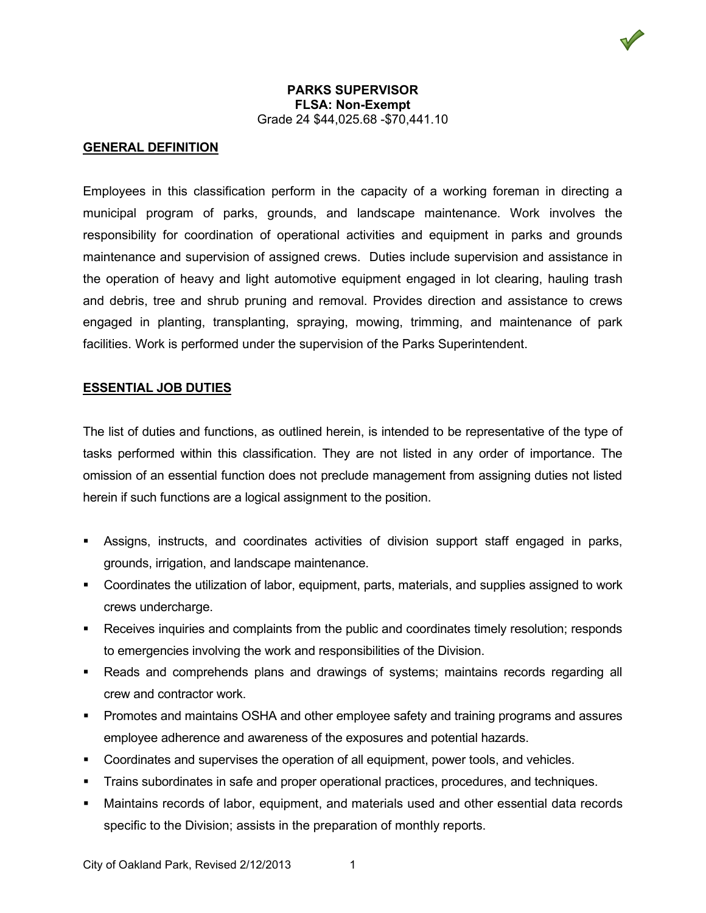#### **GENERAL DEFINITION**

Employees in this classification perform in the capacity of a working foreman in directing a municipal program of parks, grounds, and landscape maintenance. Work involves the responsibility for coordination of operational activities and equipment in parks and grounds maintenance and supervision of assigned crews. Duties include supervision and assistance in the operation of heavy and light automotive equipment engaged in lot clearing, hauling trash and debris, tree and shrub pruning and removal. Provides direction and assistance to crews engaged in planting, transplanting, spraying, mowing, trimming, and maintenance of park facilities. Work is performed under the supervision of the Parks Superintendent.

#### **ESSENTIAL JOB DUTIES**

The list of duties and functions, as outlined herein, is intended to be representative of the type of tasks performed within this classification. They are not listed in any order of importance. The omission of an essential function does not preclude management from assigning duties not listed herein if such functions are a logical assignment to the position.

- Assigns, instructs, and coordinates activities of division support staff engaged in parks, grounds, irrigation, and landscape maintenance.
- Coordinates the utilization of labor, equipment, parts, materials, and supplies assigned to work crews undercharge.
- Receives inquiries and complaints from the public and coordinates timely resolution; responds to emergencies involving the work and responsibilities of the Division.
- Reads and comprehends plans and drawings of systems; maintains records regarding all crew and contractor work.
- Promotes and maintains OSHA and other employee safety and training programs and assures employee adherence and awareness of the exposures and potential hazards.
- Coordinates and supervises the operation of all equipment, power tools, and vehicles.
- Trains subordinates in safe and proper operational practices, procedures, and techniques.
- Maintains records of labor, equipment, and materials used and other essential data records specific to the Division; assists in the preparation of monthly reports.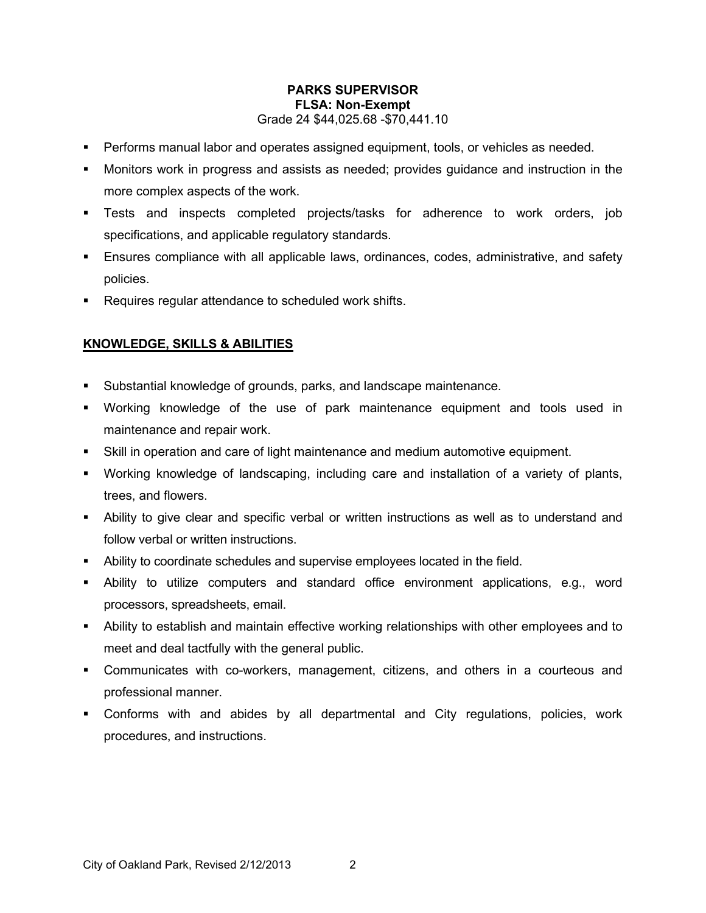- **Performs manual labor and operates assigned equipment, tools, or vehicles as needed.**
- Monitors work in progress and assists as needed; provides guidance and instruction in the more complex aspects of the work.
- Tests and inspects completed projects/tasks for adherence to work orders, job specifications, and applicable regulatory standards.
- Ensures compliance with all applicable laws, ordinances, codes, administrative, and safety policies.
- **Requires regular attendance to scheduled work shifts.**

# **KNOWLEDGE, SKILLS & ABILITIES**

- Substantial knowledge of grounds, parks, and landscape maintenance.
- Working knowledge of the use of park maintenance equipment and tools used in maintenance and repair work.
- Skill in operation and care of light maintenance and medium automotive equipment.
- Working knowledge of landscaping, including care and installation of a variety of plants, trees, and flowers.
- Ability to give clear and specific verbal or written instructions as well as to understand and follow verbal or written instructions.
- Ability to coordinate schedules and supervise employees located in the field.
- Ability to utilize computers and standard office environment applications, e.g., word processors, spreadsheets, email.
- Ability to establish and maintain effective working relationships with other employees and to meet and deal tactfully with the general public.
- Communicates with co-workers, management, citizens, and others in a courteous and professional manner.
- Conforms with and abides by all departmental and City regulations, policies, work procedures, and instructions.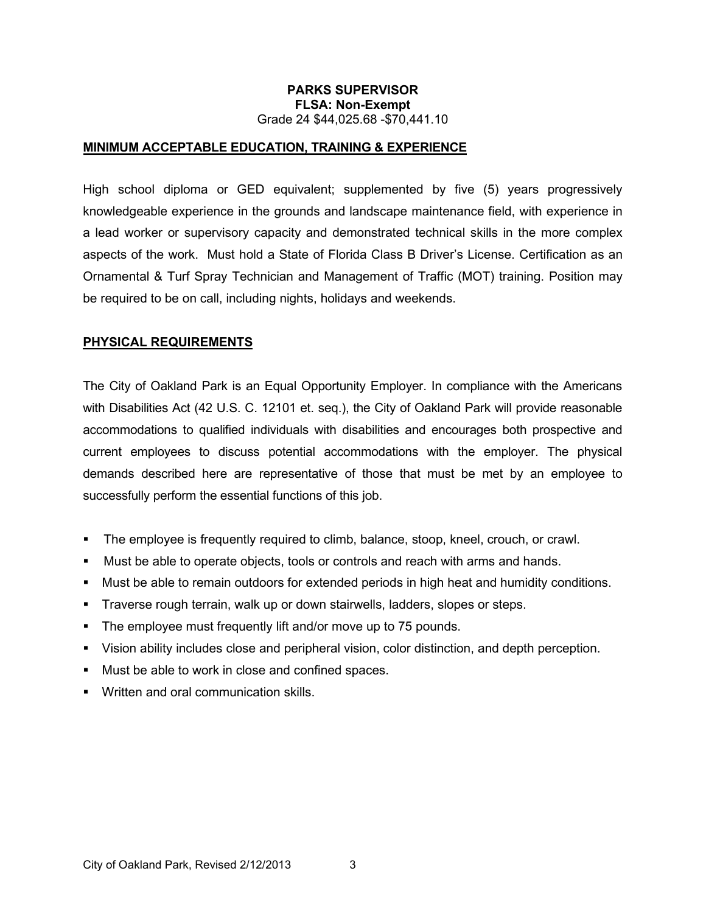## **MINIMUM ACCEPTABLE EDUCATION, TRAINING & EXPERIENCE**

High school diploma or GED equivalent; supplemented by five (5) years progressively knowledgeable experience in the grounds and landscape maintenance field, with experience in a lead worker or supervisory capacity and demonstrated technical skills in the more complex aspects of the work. Must hold a State of Florida Class B Driver's License. Certification as an Ornamental & Turf Spray Technician and Management of Traffic (MOT) training. Position may be required to be on call, including nights, holidays and weekends.

## **PHYSICAL REQUIREMENTS**

The City of Oakland Park is an Equal Opportunity Employer. In compliance with the Americans with Disabilities Act (42 U.S. C. 12101 et. seq.), the City of Oakland Park will provide reasonable accommodations to qualified individuals with disabilities and encourages both prospective and current employees to discuss potential accommodations with the employer. The physical demands described here are representative of those that must be met by an employee to successfully perform the essential functions of this job.

- The employee is frequently required to climb, balance, stoop, kneel, crouch, or crawl.
- Must be able to operate objects, tools or controls and reach with arms and hands.
- Must be able to remain outdoors for extended periods in high heat and humidity conditions.
- Traverse rough terrain, walk up or down stairwells, ladders, slopes or steps.
- The employee must frequently lift and/or move up to 75 pounds.
- Vision ability includes close and peripheral vision, color distinction, and depth perception.
- **Must be able to work in close and confined spaces.**
- **Written and oral communication skills.**